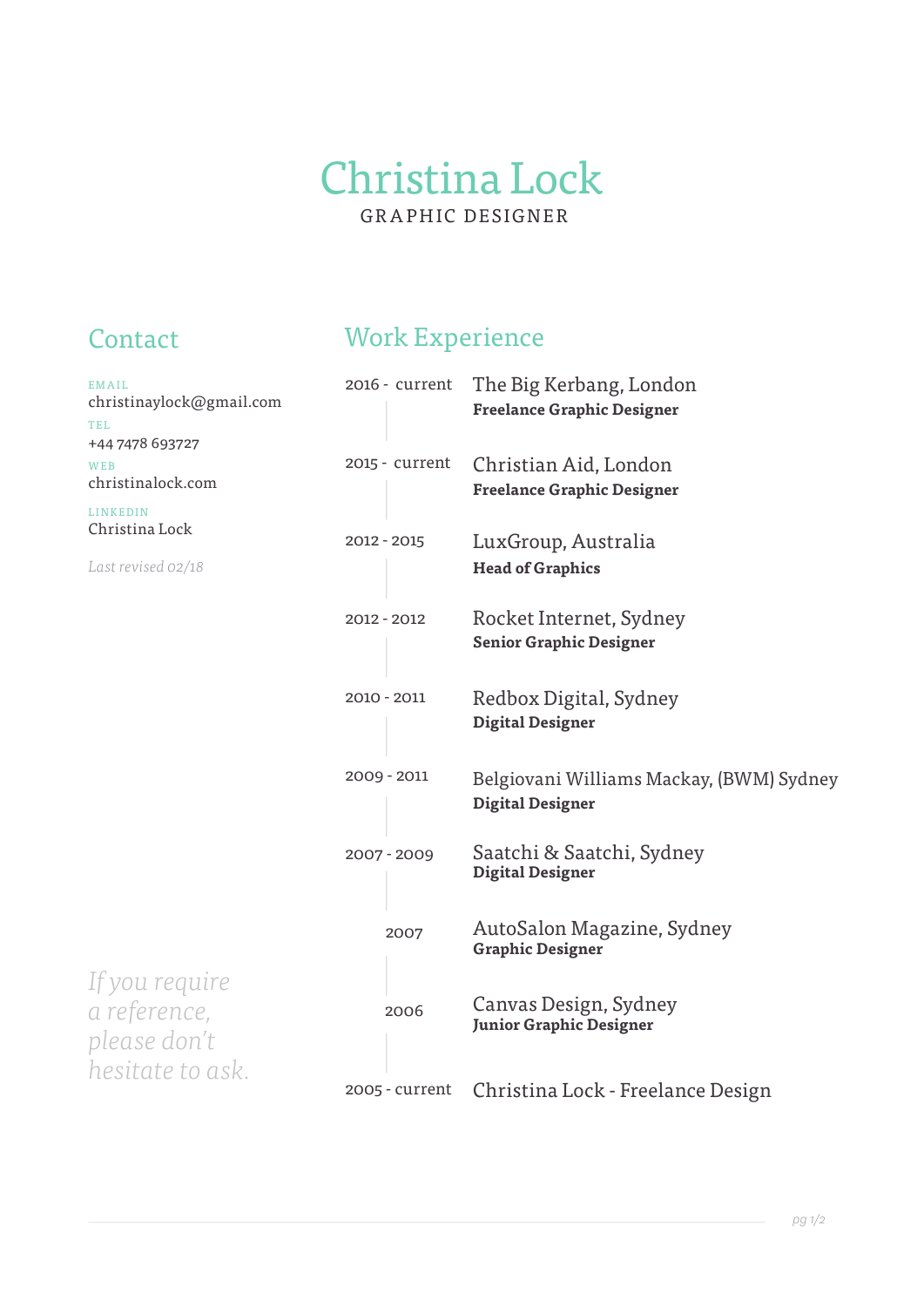# Christina Lock GRAPHIC DESIGNER

# Contact Work Experience

| <b>EMAIL</b><br>christinaylock@gmail.com<br>TEL                                                        | 2016 - current | The Big Kerbang, London<br><b>Freelance Graphic Designer</b>        |
|--------------------------------------------------------------------------------------------------------|----------------|---------------------------------------------------------------------|
| +44 7478 693727<br>WEB<br>christinalock.com<br><b>LINKEDIN</b><br>Christina Lock<br>Last revised 02/18 | 2015 - current | Christian Aid, London<br><b>Freelance Graphic Designer</b>          |
|                                                                                                        | 2012 - 2015    | LuxGroup, Australia<br><b>Head of Graphics</b>                      |
|                                                                                                        | 2012 - 2012    | Rocket Internet, Sydney<br><b>Senior Graphic Designer</b>           |
|                                                                                                        | 2010 - 2011    | Redbox Digital, Sydney<br><b>Digital Designer</b>                   |
|                                                                                                        | 2009 - 2011    | Belgiovani Williams Mackay, (BWM) Sydney<br><b>Digital Designer</b> |
|                                                                                                        | 2007 - 2009    | Saatchi & Saatchi, Sydney<br><b>Digital Designer</b>                |
|                                                                                                        | 2007           | AutoSalon Magazine, Sydney<br><b>Graphic Designer</b>               |
| If you require<br>a reference,<br>please don't                                                         | 2006           | Canvas Design, Sydney<br><b>Junior Graphic Designer</b>             |
| hesitate to ask.                                                                                       | 2005 - current | Christina Lock - Freelance Design                                   |